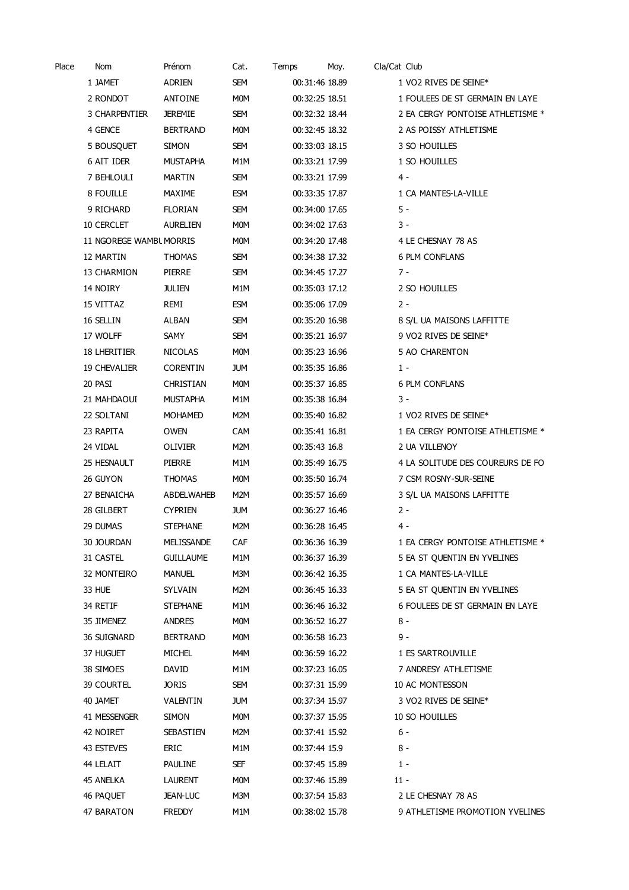| Place | Nom                     | Prénom           | Cat.       | Temps          | Moy. | Cla/Cat Club |                                  |
|-------|-------------------------|------------------|------------|----------------|------|--------------|----------------------------------|
|       | 1 JAMET                 | <b>ADRIEN</b>    | SEM        | 00:31:46 18.89 |      |              | 1 VO2 RIVES DE SEINE*            |
|       | 2 RONDOT                | ANTOINE          | M0M        | 00:32:25 18.51 |      |              | 1 FOULEES DE ST GERMAIN EN LAYE  |
|       | 3 CHARPENTIER           | <b>JEREMIE</b>   | SEM        | 00:32:32 18.44 |      |              | 2 EA CERGY PONTOISE ATHLETISME * |
|       | 4 GENCE                 | <b>BERTRAND</b>  | M0M        | 00:32:45 18.32 |      |              | 2 AS POISSY ATHLETISME           |
|       | 5 BOUSQUET              | <b>SIMON</b>     | SEM        | 00:33:03 18.15 |      |              | 3 SO HOUILLES                    |
|       | 6 AIT IDER              | <b>MUSTAPHA</b>  | M1M        | 00:33:21 17.99 |      |              | 1 SO HOUILLES                    |
|       | 7 BEHLOULI              | MARTIN           | SEM        | 00:33:21 17.99 |      |              | 4 -                              |
|       | 8 FOUILLE               | <b>MAXIME</b>    | ESM        | 00:33:35 17.87 |      |              | 1 CA MANTES-LA-VILLE             |
|       | 9 RICHARD               | <b>FLORIAN</b>   | SEM        | 00:34:00 17.65 |      |              | 5 -                              |
|       | 10 CERCLET              | <b>AURELIEN</b>  | M0M        | 00:34:02 17.63 |      |              | 3 -                              |
|       | 11 NGOREGE WAMBL MORRIS |                  | M0M        | 00:34:20 17.48 |      |              | 4 LE CHESNAY 78 AS               |
|       | 12 MARTIN               | <b>THOMAS</b>    | SEM        | 00:34:38 17.32 |      |              | <b>6 PLM CONFLANS</b>            |
|       | 13 CHARMION             | <b>PIERRE</b>    | SEM        | 00:34:45 17.27 |      |              | $7 -$                            |
|       | 14 NOIRY                | <b>JULIEN</b>    | M1M        | 00:35:03 17.12 |      |              | 2 SO HOUILLES                    |
|       | 15 VITTAZ               | remi             | ESM        | 00:35:06 17.09 |      |              | $2 -$                            |
|       | 16 SELLIN               | <b>ALBAN</b>     | SEM        | 00:35:20 16.98 |      |              | 8 S/L UA MAISONS LAFFITTE        |
|       | 17 WOLFF                | SAMY             | SEM        | 00:35:21 16.97 |      |              | 9 VO2 RIVES DE SEINE*            |
|       | 18 LHERITIER            | <b>NICOLAS</b>   | M0M        | 00:35:23 16.96 |      |              | 5 AO CHARENTON                   |
|       | <b>19 CHEVALIER</b>     | <b>CORENTIN</b>  | <b>JUM</b> | 00:35:35 16.86 |      |              | $1 -$                            |
|       | 20 PASI                 | <b>CHRISTIAN</b> | MOM        | 00:35:37 16.85 |      |              | <b>6 PLM CONFLANS</b>            |
|       | 21 MAHDAOUI             | <b>MUSTAPHA</b>  | M1M        | 00:35:38 16.84 |      |              | 3 -                              |
|       | 22 SOLTANI              | MOHAMED          | M2M        | 00:35:40 16.82 |      |              | 1 VO2 RIVES DE SEINE*            |
|       | 23 RAPITA               | <b>OWEN</b>      | CAM        | 00:35:41 16.81 |      |              | 1 EA CERGY PONTOISE ATHLETISME * |
|       | 24 VIDAL                | OLIVIER          | M2M        | 00:35:43 16.8  |      |              | 2 UA VILLENOY                    |
|       | 25 HESNAULT             | PIERRE           | M1M        | 00:35:49 16.75 |      |              | 4 LA SOLITUDE DES COUREURS DE FO |
|       | 26 GUYON                | <b>THOMAS</b>    | M0M        | 00:35:50 16.74 |      |              | 7 CSM ROSNY-SUR-SEINE            |
|       | 27 BENAICHA             | ABDELWAHEB       | M2M        | 00:35:57 16.69 |      |              | 3 S/L UA MAISONS LAFFITTE        |
|       | 28 GILBERT              | <b>CYPRIEN</b>   | jum        | 00:36:27 16.46 |      |              | $2 -$                            |
|       | 29 DUMAS                | <b>STEPHANE</b>  | M2M        | 00:36:28 16.45 |      |              | 4 -                              |
|       | 30 JOURDAN              | MELISSANDE       | CAF        | 00:36:36 16.39 |      |              | 1 EA CERGY PONTOISE ATHLETISME * |
|       | 31 CASTEL               | <b>GUILLAUME</b> | M1M        | 00:36:37 16.39 |      |              | 5 EA ST QUENTIN EN YVELINES      |
|       | 32 MONTEIRO             | <b>MANUEL</b>    | M3M        | 00:36:42 16.35 |      |              | 1 CA MANTES-LA-VILLE             |
|       | 33 HUE                  | SYLVAIN          | M2M        | 00:36:45 16.33 |      |              | 5 EA ST QUENTIN EN YVELINES      |
|       | 34 RETIF                | <b>STEPHANE</b>  | M1M        | 00:36:46 16.32 |      |              | 6 FOULEES DE ST GERMAIN EN LAYE  |
|       | 35 JIMENEZ              | <b>ANDRES</b>    | M0M        | 00:36:52 16.27 |      |              | 8 -                              |
|       | 36 SUIGNARD             | <b>BERTRAND</b>  | M0M        | 00:36:58 16.23 |      |              | 9 -                              |
|       | 37 HUGUET               | <b>MICHEL</b>    | M4M        | 00:36:59 16.22 |      |              | 1 ES SARTROUVILLE                |
|       | 38 SIMOES               | DAVID            | M1M        | 00:37:23 16.05 |      |              | 7 ANDRESY ATHLETISME             |
|       | 39 COURTEL              | <b>JORIS</b>     | SEM        | 00:37:31 15.99 |      |              | 10 AC MONTESSON                  |
|       | 40 JAMET                | VALENTIN         | jum        | 00:37:34 15.97 |      |              | 3 VO2 RIVES DE SEINE*            |
|       | 41 MESSENGER            | <b>SIMON</b>     | M0M        | 00:37:37 15.95 |      |              | 10 SO HOUILLES                   |
|       | 42 NOIRET               | SEBASTIEN        | M2M        | 00:37:41 15.92 |      |              | 6 -                              |
|       | 43 ESTEVES              | ERIC             | M1M        | 00:37:44 15.9  |      |              | 8 -                              |
|       | 44 LELAIT               | <b>PAULINE</b>   | SEF        | 00:37:45 15.89 |      |              | $1 -$                            |
|       | 45 ANELKA               | <b>LAURENT</b>   | M0M        | 00:37:46 15.89 |      |              | $11 -$                           |
|       | 46 PAQUET               | <b>JEAN-LUC</b>  | M3M        | 00:37:54 15.83 |      |              | 2 LE CHESNAY 78 AS               |
|       | 47 BARATON              | <b>FREDDY</b>    | M1M        | 00:38:02 15.78 |      |              | 9 ATHLETISME PROMOTION YVELINES  |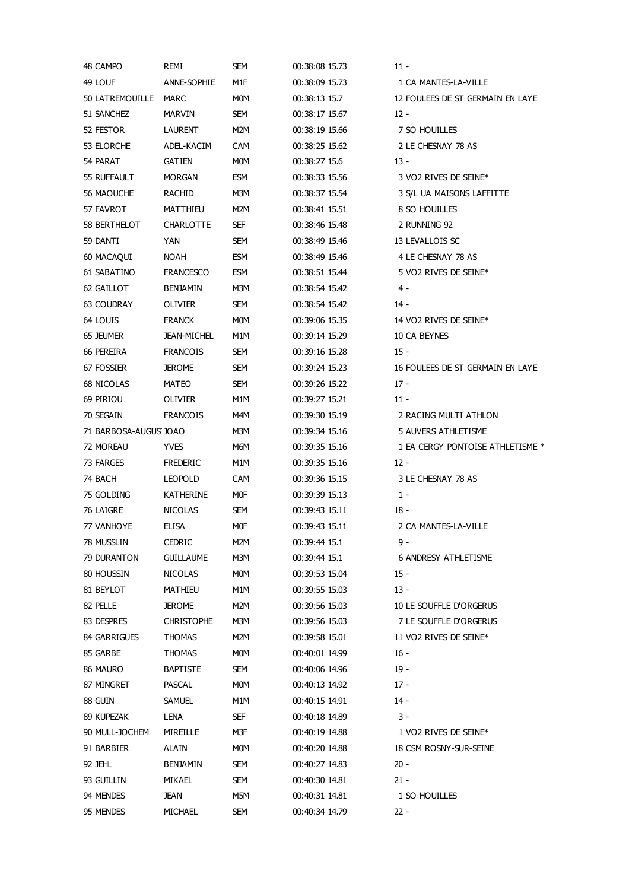| 48 CAMPO              | remi               | SEM        | 00:38:08 15.73 | 11 -                              |
|-----------------------|--------------------|------------|----------------|-----------------------------------|
| 49 LOUF               | ANNE-SOPHIE        | M1F        | 00:38:09 15.73 | 1 CA MANTES-LA-VILLE              |
| 50 LATREMOUILLE MARC  |                    | M0M        | 00:38:13 15.7  | 12 FOULEES DE ST GERMAIN EN LAYE  |
| 51 SANCHEZ            | MARVIN             | SEM        | 00:38:17 15.67 | $12 -$                            |
| 52 FESTOR             | <b>LAURENT</b>     | M2M        | 00:38:19 15.66 | 7 SO HOUILLES                     |
| 53 ELORCHE            | ADEL-KACIM         | <b>CAM</b> | 00:38:25 15.62 | 2 LE CHESNAY 78 AS                |
| 54 PARAT              | <b>GATIEN</b>      | M0M        | 00:38:27 15.6  | $13 -$                            |
| 55 RUFFAULT           | <b>MORGAN</b>      | ESM        | 00:38:33 15.56 | 3 VO2 RIVES DE SEINE*             |
| 56 MAOUCHE            | <b>RACHID</b>      | M3M        | 00:38:37 15.54 | 3 S/L UA MAISONS LAFFITTE         |
| 57 FAVROT             | MATTHIEU           | M2M        | 00:38:41 15.51 | 8 SO HOUILLES                     |
| 58 BERTHELOT          | <b>CHARLOTTE</b>   | SEF        | 00:38:46 15.48 | 2 RUNNING 92                      |
| 59 DANTI              | <b>YAN</b>         | SEM        | 00:38:49 15.46 | 13 LEVALLOIS SC                   |
| 60 MACAQUI            | NOAH               | ESM        | 00:38:49 15.46 | 4 LE CHESNAY 78 AS                |
| 61 SABATINO           | <b>FRANCESCO</b>   | <b>ESM</b> | 00:38:51 15.44 | 5 VO2 RIVES DE SEINE <sup>*</sup> |
| 62 GAILLOT            | <b>BENJAMIN</b>    | M3M        | 00:38:54 15.42 | 4 -                               |
| 63 COUDRAY            | OLIVIER            | SEM        | 00:38:54 15.42 | 14 -                              |
| 64 LOUIS              | <b>FRANCK</b>      | M0M        | 00:39:06 15.35 | 14 VO2 RIVES DE SEINE*            |
| 65 JEUMER             | <b>JEAN-MICHEL</b> | M1M        | 00:39:14 15.29 | 10 CA BEYNES                      |
| 66 PEREIRA            | <b>FRANCOIS</b>    | SEM        | 00:39:16 15.28 | $15 -$                            |
| 67 FOSSIER            | <b>JEROME</b>      | SEM        | 00:39:24 15.23 | 16 FOULEES DE ST GERMAIN EN LAYE  |
|                       |                    |            |                |                                   |
| 68 NICOLAS            | MATEO              | SEM        | 00:39:26 15.22 | $17 -$                            |
| 69 PIRIOU             | OLIVIER            | M1M        | 00:39:27 15.21 | $11 -$                            |
| 70 SEGAIN             | <b>FRANCOIS</b>    | M4M        | 00:39:30 15.19 | 2 RACING MULTI ATHLON             |
| 71 BARBOSA-AUGUS JOAO |                    | M3M        | 00:39:34 15.16 | 5 AUVERS ATHLETISME               |
| 72 MOREAU             | <b>YVES</b>        | M6M        | 00:39:35 15.16 | 1 EA CERGY PONTOISE ATHLETISME *  |
| 73 FARGES             | <b>FREDERIC</b>    | M1M        | 00:39:35 15.16 | $12 -$                            |
| 74 BACH               | <b>LEOPOLD</b>     | CAM        | 00:39:36 15.15 | 3 LE CHESNAY 78 AS                |
| 75 GOLDING            | <b>KATHERINE</b>   | MOF        | 00:39:39 15.13 | $1 -$                             |
| 76 LAIGRE             | <b>NICOLAS</b>     | SEM        | 00:39:43 15.11 | 18 -                              |
| 77 VANHOYE            | <b>ELISA</b>       | M0F        | 00:39:43 15.11 | 2 CA MANTES-LA-VILLE              |
| 78 MUSSLIN            | <b>CEDRIC</b>      | M2M        | 00:39:44 15.1  | 9 -                               |
| 79 DURANTON           | <b>GUILLAUME</b>   | M3M        | 00:39:44 15.1  | <b>6 ANDRESY ATHLETISME</b>       |
| 80 HOUSSIN            | <b>NICOLAS</b>     | <b>MOM</b> | 00:39:53 15.04 | $15 -$                            |
| 81 BEYLOT             | MATHIEU            | M1M        | 00:39:55 15.03 | $13 -$                            |
| 82 PELLE              | JEROME             | M2M        | 00:39:56 15.03 | 10 LE SOUFFLE D'ORGERUS           |
| 83 DESPRES            | <b>CHRISTOPHE</b>  | M3M        | 00:39:56 15.03 | 7 LE SOUFFLE D'ORGERUS            |
| 84 GARRIGUES          | <b>THOMAS</b>      | M2M        | 00:39:58 15.01 | 11 VO2 RIVES DE SEINE*            |
| 85 GARBE              | THOMAS             | M0M        | 00:40:01 14.99 | 16 -                              |
| 86 MAURO              | <b>BAPTISTE</b>    | SEM        | 00:40:06 14.96 | $19 -$                            |
| 87 MINGRET            | PASCAL             | <b>MOM</b> | 00:40:13 14.92 | $17 -$                            |
| 88 GUIN               | <b>SAMUEL</b>      | M1M        | 00:40:15 14.91 | $14 -$                            |
| 89 KUPEZAK            | LENA               | SEF        | 00:40:18 14.89 | 3 -                               |
| 90 MULL-JOCHEM        | MIREILLE           | M3F        | 00:40:19 14.88 | 1 VO2 RIVES DE SEINE*             |
| 91 BARBIER            | <b>ALAIN</b>       | <b>MOM</b> | 00:40:20 14.88 | 18 CSM ROSNY-SUR-SEINE            |
| 92 JEHL               | <b>BENJAMIN</b>    | <b>SEM</b> | 00:40:27 14.83 | $20 -$                            |
| 93 GUILLIN            | MIKAEL             | <b>SEM</b> | 00:40:30 14.81 | $21 -$                            |
| 94 MENDES             | JEAN               | M5M        | 00:40:31 14.81 | 1 SO HOUILLES                     |
| 95 MENDES             | MICHAEL            | <b>SEM</b> | 00:40:34 14.79 | $22 -$                            |
|                       |                    |            |                |                                   |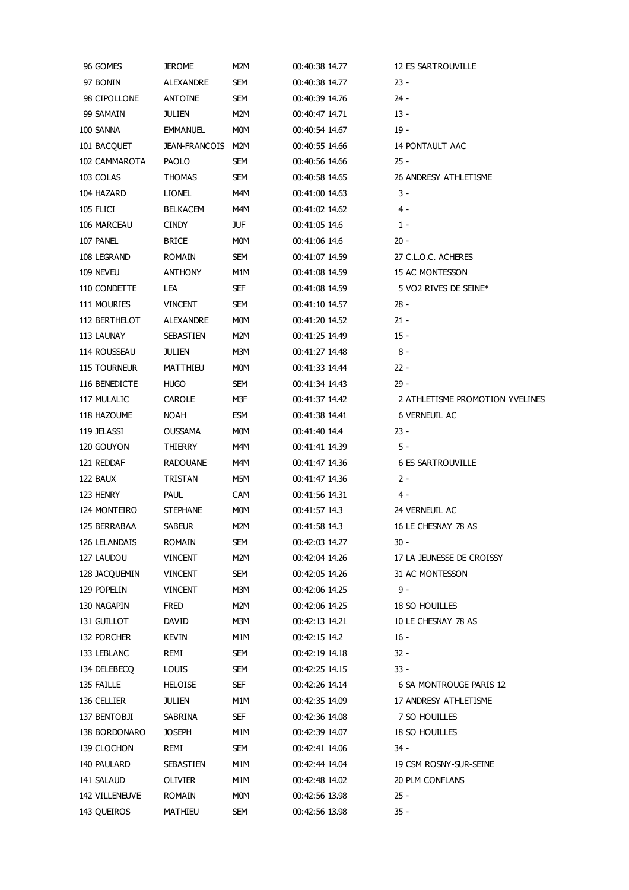| 96 GOMES            | <b>JEROME</b>     | M2M        | 00:40:38 14.77 | 12 ES SARTROUVILLE              |
|---------------------|-------------------|------------|----------------|---------------------------------|
| 97 BONIN            | ALEXANDRE         | SEM        | 00:40:38 14.77 | 23 -                            |
| 98 CIPOLLONE        | ANTOINE           | SEM        | 00:40:39 14.76 | 24 -                            |
| 99 SAMAIN           | <b>JULIEN</b>     | M2M        | 00:40:47 14.71 | $13 -$                          |
| 100 SANNA           | <b>EMMANUEL</b>   | <b>MOM</b> | 00:40:54 14.67 | $19 -$                          |
| 101 BACQUET         | JEAN-FRANCOIS M2M |            | 00:40:55 14.66 | 14 PONTAULT AAC                 |
| 102 CAMMAROTA       | <b>PAOLO</b>      | SEM        | 00:40:56 14.66 | $25 -$                          |
| 103 COLAS           | THOMAS            | SEM        | 00:40:58 14.65 | 26 ANDRESY ATHLETISME           |
| 104 HAZARD          | <b>LIONEL</b>     | M4M        | 00:41:00 14.63 | 3 -                             |
| 105 FLICI           | <b>BELKACEM</b>   | M4M        | 00:41:02 14.62 | 4 -                             |
| 106 MARCEAU         | <b>CINDY</b>      | JUF        | 00:41:05 14.6  | $1 -$                           |
| 107 PANEL           | <b>BRICE</b>      | MOM        | 00:41:06 14.6  | 20 -                            |
| 108 LEGRAND         | ROMAIN            | SEM        | 00:41:07 14.59 | 27 C.L.O.C. ACHERES             |
| 109 NEVEU           | ANTHONY           | M1M        | 00:41:08 14.59 | 15 AC MONTESSON                 |
| 110 CONDETTE        | LEA               | <b>SEF</b> | 00:41:08 14.59 | 5 VO2 RIVES DE SEINE*           |
| 111 MOURIES         | <b>VINCENT</b>    | SEM        | 00:41:10 14.57 | $28 -$                          |
| 112 BERTHELOT       | ALEXANDRE         | MOM        | 00:41:20 14.52 | 21 -                            |
| 113 LAUNAY          | <b>SEBASTIEN</b>  | M2M        | 00:41:25 14.49 | $15 -$                          |
| 114 ROUSSEAU        | <b>JULIEN</b>     | M3M        | 00:41:27 14.48 | 8 -                             |
| <b>115 TOURNEUR</b> | MATTHIEU          | MOM        | 00:41:33 14.44 | $22 -$                          |
| 116 BENEDICTE       | <b>HUGO</b>       | SEM        | 00:41:34 14.43 | $29 -$                          |
| 117 MULALIC         | CAROLE            | M3F        | 00:41:37 14.42 | 2 ATHLETISME PROMOTION YVELINES |
| 118 HAZOUME         | NOAH              | <b>ESM</b> | 00:41:38 14.41 | 6 VERNEUIL AC                   |
| 119 JELASSI         | OUSSAMA           | MOM        | 00:41:40 14.4  | 23 -                            |
| 120 GOUYON          | THIERRY           | M4M        | 00:41:41 14.39 | 5 -                             |
| 121 REDDAF          | RADOUANE          | M4M        | 00:41:47 14.36 | <b>6 ES SARTROUVILLE</b>        |
| 122 BAUX            | TRISTAN           | M5M        | 00:41:47 14.36 | 2 -                             |
| 123 HENRY           | <b>PAUL</b>       | CAM        | 00:41:56 14.31 | 4 -                             |
| 124 MONTEIRO        | <b>STEPHANE</b>   | <b>MOM</b> | 00:41:57 14.3  | 24 VERNEUIL AC                  |
| 125 BERRABAA        | <b>SABEUR</b>     | M2M        | 00:41:58 14.3  | 16 LE CHESNAY 78 AS             |
| 126 LELANDAIS       | ROMAIN            | SEM        | 00:42:03 14.27 | 30 -                            |
| 127 LAUDOU          | <b>VINCENT</b>    | M2M        | 00:42:04 14.26 | 17 LA JEUNESSE DE CROISSY       |
| 128 JACQUEMIN       | <b>VINCENT</b>    | SEM        | 00:42:05 14.26 | 31 AC MONTESSON                 |
| 129 POPELIN         | <b>VINCENT</b>    | M3M        | 00:42:06 14.25 | 9 -                             |
| 130 NAGAPIN         | FRED              | M2M        | 00:42:06 14.25 | 18 SO HOUILLES                  |
| 131 GUILLOT         | DAVID             | M3M        | 00:42:13 14.21 | 10 LE CHESNAY 78 AS             |
| 132 PORCHER         | KEVIN             | M1M        | 00:42:15 14.2  | 16 -                            |
| 133 LEBLANC         | remi              | SEM        | 00:42:19 14.18 | 32 -                            |
| 134 DELEBECQ        | LOUIS             | SEM        | 00:42:25 14.15 | 33 -                            |
| 135 FAILLE          | <b>HELOISE</b>    | SEF        | 00:42:26 14.14 | 6 SA MONTROUGE PARIS 12         |
| 136 CELLIER         | <b>JULIEN</b>     | M1M        | 00:42:35 14.09 | 17 ANDRESY ATHLETISME           |
| 137 BENTOBJI        | SABRINA           | SEF        | 00:42:36 14.08 | 7 SO HOUILLES                   |
| 138 BORDONARO       | <b>JOSEPH</b>     | M1M        | 00:42:39 14.07 | 18 SO HOUILLES                  |
| 139 CLOCHON         | remi              | <b>SEM</b> | 00:42:41 14.06 | 34 -                            |
| 140 PAULARD         | SEBASTIEN         | M1M        | 00:42:44 14.04 | 19 CSM ROSNY-SUR-SEINE          |
| 141 SALAUD          | OLIVIER           | M1M        | 00:42:48 14.02 | 20 PLM CONFLANS                 |
| 142 VILLENEUVE      | ROMAIN            | <b>MOM</b> | 00:42:56 13.98 | $25 -$                          |
| 143 QUEIROS         | MATHIEU           | SEM        | 00:42:56 13.98 | $35 -$                          |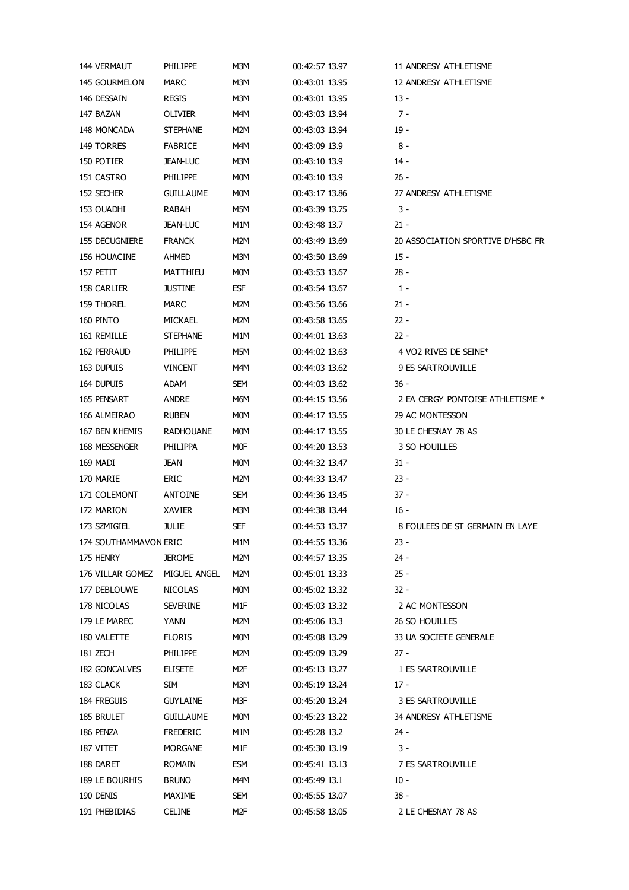| 144 VERMAUT           | <b>PHILIPPE</b>  | M3M        | 00:42:57 13.97 | 11 ANDRESY ATHLETISME             |
|-----------------------|------------------|------------|----------------|-----------------------------------|
| 145 GOURMELON         | MARC             | M3M        | 00:43:01 13.95 | 12 ANDRESY ATHLETISME             |
| 146 DESSAIN           | <b>REGIS</b>     | M3M        | 00:43:01 13.95 | $13 -$                            |
| 147 BAZAN             | OLIVIER          | M4M        | 00:43:03 13.94 | $7 -$                             |
| 148 MONCADA           | <b>STEPHANE</b>  | M2M        | 00:43:03 13.94 | $19 -$                            |
| 149 TORRES            | <b>FABRICE</b>   | M4M        | 00:43:09 13.9  | 8 -                               |
| 150 POTIER            | <b>JEAN-LUC</b>  | M3M        | 00:43:10 13.9  | 14 -                              |
| 151 CASTRO            | <b>PHILIPPE</b>  | MOM        | 00:43:10 13.9  | $26 -$                            |
| 152 SECHER            | <b>GUILLAUME</b> | MOM        | 00:43:17 13.86 | 27 ANDRESY ATHLETISME             |
| 153 OUADHI            | RABAH            | M5M        | 00:43:39 13.75 | 3 -                               |
| 154 AGENOR            | <b>JEAN-LUC</b>  | M1M        | 00:43:48 13.7  | $21 -$                            |
| 155 DECUGNIERE        | <b>FRANCK</b>    | M2M        | 00:43:49 13.69 | 20 ASSOCIATION SPORTIVE D'HSBC FR |
| 156 HOUACINE          | AHMED            | M3M        | 00:43:50 13.69 | $15 -$                            |
| 157 PETIT             | MATTHIEU         | MOM        | 00:43:53 13.67 | $28 -$                            |
| 158 CARLIER           | <b>JUSTINE</b>   | <b>ESF</b> | 00:43:54 13.67 | $1 -$                             |
| 159 THOREL            | <b>MARC</b>      | M2M        | 00:43:56 13.66 | $21 -$                            |
| 160 PINTO             | MICKAEL          | M2M        | 00:43:58 13.65 | $22 -$                            |
| 161 REMILLE           | <b>STEPHANE</b>  | M1M        | 00:44:01 13.63 | $22 -$                            |
| 162 PERRAUD           | <b>PHILIPPE</b>  | M5M        | 00:44:02 13.63 | 4 VO2 RIVES DE SEINE*             |
| 163 DUPUIS            | <b>VINCENT</b>   | M4M        | 00:44:03 13.62 | 9 ES SARTROUVILLE                 |
| 164 DUPUIS            |                  |            | 00:44:03 13.62 |                                   |
|                       | ADAM             | SEM        |                | - 36                              |
| 165 PENSART           | <b>ANDRE</b>     | M6M        | 00:44:15 13.56 | 2 EA CERGY PONTOISE ATHLETISME *  |
| 166 ALMEIRAO          | <b>RUBEN</b>     | MOM        | 00:44:17 13.55 | 29 AC MONTESSON                   |
| 167 BEN KHEMIS        | <b>RADHOUANE</b> | MOM        | 00:44:17 13.55 | 30 LE CHESNAY 78 AS               |
| 168 MESSENGER         | PHILIPPA         | M0F        | 00:44:20 13.53 | 3 SO HOUILLES                     |
| 169 MADI              | JEAN             | MOM        | 00:44:32 13.47 | $31 -$                            |
| 170 MARIE             | <b>ERIC</b>      | M2M        | 00:44:33 13.47 | $23 -$                            |
| 171 COLEMONT          | ANTOINE          | SEM        | 00:44:36 13.45 | $37 -$                            |
| 172 MARION            | XAVIER           | M3M        | 00:44:38 13.44 | 16 -                              |
| 173 SZMIGIEL          | JULIE            | <b>SEF</b> | 00:44:53 13.37 | 8 FOULEES DE ST GERMAIN EN LAYE   |
| 174 SOUTHAMMAVON ERIC |                  | M1M        | 00:44:55 13.36 | 23 -                              |
| 175 HENRY             | JEROME           | M2M        | 00:44:57 13.35 | 24 -                              |
| 176 VILLAR GOMEZ      | MIGUEL ANGEL     | M2M        | 00:45:01 13.33 | $25 -$                            |
| 177 DEBLOUWE          | <b>NICOLAS</b>   | MOM        | 00:45:02 13.32 | 32 -                              |
| 178 NICOLAS           | <b>SEVERINE</b>  | M1F        | 00:45:03 13.32 | 2 AC MONTESSON                    |
| 179 LE MAREC          | YANN             | M2M        | 00:45:06 13.3  | 26 SO HOUILLES                    |
| 180 VALETTE           | <b>FLORIS</b>    | MOM        | 00:45:08 13.29 | 33 UA SOCIETE GENERALE            |
| 181 ZECH              | <b>PHILIPPE</b>  | M2M        | 00:45:09 13.29 | 27 -                              |
| 182 GONCALVES         | <b>ELISETE</b>   | M2F        | 00:45:13 13.27 | 1 ES SARTROUVILLE                 |
| 183 CLACK             | SIM              | M3M        | 00:45:19 13.24 | 17 -                              |
| 184 FREGUIS           | <b>GUYLAINE</b>  | M3F        | 00:45:20 13.24 | 3 ES SARTROUVILLE                 |
| 185 BRULET            | <b>GUILLAUME</b> | MOM        | 00:45:23 13.22 | 34 ANDRESY ATHLETISME             |
| 186 PENZA             | <b>FREDERIC</b>  | M1M        | 00:45:28 13.2  | 24 -                              |
| 187 VITET             | <b>MORGANE</b>   | M1F        | 00:45:30 13.19 | 3 -                               |
| 188 DARET             | <b>ROMAIN</b>    | ESM        | 00:45:41 13.13 | 7 ES SARTROUVILLE                 |
| 189 LE BOURHIS        | <b>BRUNO</b>     | M4M        | 00:45:49 13.1  | $10 -$                            |
| 190 DENIS             | MAXIME           | SEM        | 00:45:55 13.07 | - 38                              |
| 191 PHEBIDIAS         | <b>CELINE</b>    | M2F        | 00:45:58 13.05 | 2 LE CHESNAY 78 AS                |
|                       |                  |            |                |                                   |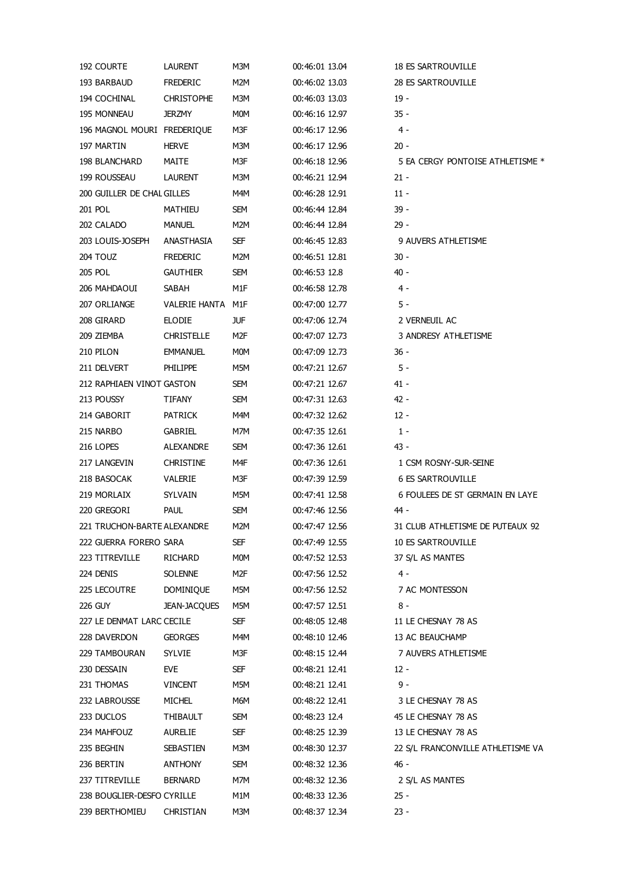| 192 COURTE                  | LAURENT             | M3M | 00:46:01 13.04 | 18 ES SARTROUVILLE                |
|-----------------------------|---------------------|-----|----------------|-----------------------------------|
| 193 BARBAUD                 | FREDERIC            | M2M | 00:46:02 13.03 | 28 ES SARTROUVILLE                |
| 194 COCHINAL                | <b>CHRISTOPHE</b>   | M3M | 00:46:03 13.03 | $19 -$                            |
| <b>195 MONNEAU</b>          | <b>JERZMY</b>       | M0M | 00:46:16 12.97 | $35 -$                            |
| 196 MAGNOL MOURI FREDERIQUE |                     | M3F | 00:46:17 12.96 | $4 -$                             |
| 197 MARTIN                  | HERVE               | M3M | 00:46:17 12.96 | $20 -$                            |
| 198 BLANCHARD               | MAITE               | M3F | 00:46:18 12.96 | 5 EA CERGY PONTOISE ATHLETISME *  |
| 199 ROUSSEAU                | <b>LAURENT</b>      | M3M | 00:46:21 12.94 | $21 -$                            |
| 200 GUILLER DE CHAL GILLES  |                     | M4M | 00:46:28 12.91 | $11 -$                            |
| 201 POL                     | MATHIEU             | SEM | 00:46:44 12.84 | $39 -$                            |
| 202 CALADO                  | MANUEL              | M2M | 00:46:44 12.84 | $29 -$                            |
| 203 LOUIS-JOSEPH            | ANASTHASIA          | SEF | 00:46:45 12.83 | 9 AUVERS ATHLETISME               |
| 204 TOUZ                    | <b>FREDERIC</b>     | M2M | 00:46:51 12.81 | $30 -$                            |
| 205 POL                     | <b>GAUTHIER</b>     | SEM | 00:46:53 12.8  | $40 -$                            |
| 206 MAHDAOUI                | SABAH               | M1F | 00:46:58 12.78 | $4 -$                             |
| 207 ORLIANGE                | VALERIE HANTA M1F   |     | 00:47:00 12.77 | 5 -                               |
| 208 GIRARD                  | ELODIE              | JUF | 00:47:06 12.74 | 2 VERNEUIL AC                     |
| 209 ZIEMBA                  | CHRISTELLE          | M2F | 00:47:07 12.73 | 3 ANDRESY ATHLETISME              |
| 210 PILON                   | <b>EMMANUEL</b>     | M0M | 00:47:09 12.73 | - 36                              |
| 211 DELVERT                 | <b>PHILIPPE</b>     | M5M | 00:47:21 12.67 | 5 -                               |
| 212 RAPHIAEN VINOT GASTON   |                     | SEM | 00:47:21 12.67 | 41 -                              |
| 213 POUSSY                  | TIFANY              | SEM | 00:47:31 12.63 | $42 -$                            |
| 214 GABORIT                 | <b>PATRICK</b>      | M4M | 00:47:32 12.62 | $12 -$                            |
| 215 NARBO                   | GABRIEL             | M7M | 00:47:35 12.61 | $1 -$                             |
| 216 LOPES                   | ALEXANDRE           | SEM | 00:47:36 12.61 | - 43                              |
|                             |                     |     |                |                                   |
| 217 LANGEVIN                | <b>CHRISTINE</b>    | M4F | 00:47:36 12.61 | 1 CSM ROSNY-SUR-SEINE             |
| 218 BASOCAK                 | VALERIE             | M3F | 00:47:39 12.59 | <b>6 ES SARTROUVILLE</b>          |
| 219 MORLAIX                 | <b>SYLVAIN</b>      | M5M | 00:47:41 12.58 | 6 FOULEES DE ST GERMAIN EN LAYE   |
| 220 GREGORI                 | <b>PAUL</b>         | SEM | 00:47:46 12.56 | - 44                              |
| 221 TRUCHON-BARTE ALEXANDRE |                     | M2M | 00:47:47 12.56 | 31 CLUB ATHLETISME DE PUTEAUX 92  |
| 222 GUERRA FORERO SARA      |                     | SEF | 00:47:49 12.55 | 10 ES SARTROUVILLE                |
| 223 TITREVILLE              | RICHARD             | MOM | 00:47:52 12.53 | 37 S/L AS MANTES                  |
| 224 DENIS                   | <b>SOLENNE</b>      | M2F | 00:47:56 12.52 | $4 -$                             |
| 225 LECOUTRE                | DOMINIQUE           | M5M | 00:47:56 12.52 | 7 AC MONTESSON                    |
| <b>226 GUY</b>              | <b>JEAN-JACQUES</b> | M5M | 00:47:57 12.51 | 8 -                               |
| 227 LE DENMAT LARC CECILE   |                     | SEF | 00:48:05 12.48 | 11 LE CHESNAY 78 AS               |
| 228 DAVERDON                | <b>GEORGES</b>      | M4M | 00:48:10 12.46 | 13 AC BEAUCHAMP                   |
| 229 TAMBOURAN               | SYLVIE              | M3F | 00:48:15 12.44 | 7 AUVERS ATHLETISME               |
| 230 DESSAIN                 | EVE                 | SEF | 00:48:21 12.41 | $12 -$                            |
| 231 THOMAS                  | <b>VINCENT</b>      | M5M | 00:48:21 12.41 | 9 -                               |
| 232 LABROUSSE               | MICHEL              | M6M | 00:48:22 12.41 | 3 LE CHESNAY 78 AS                |
| 233 DUCLOS                  | THIBAULT            | SEM | 00:48:23 12.4  | 45 LE CHESNAY 78 AS               |
| 234 MAHFOUZ                 | <b>AURELIE</b>      | SEF | 00:48:25 12.39 | 13 LE CHESNAY 78 AS               |
| 235 BEGHIN                  | SEBASTIEN           | M3M | 00:48:30 12.37 | 22 S/L FRANCONVILLE ATHLETISME VA |
| 236 BERTIN                  | ANTHONY             | SEM | 00:48:32 12.36 | - 46                              |
| 237 TITREVILLE              | <b>BERNARD</b>      | M7M | 00:48:32 12.36 | 2 S/L AS MANTES                   |
| 238 BOUGLIER-DESFO CYRILLE  |                     | M1M | 00:48:33 12.36 | $25 -$                            |
| 239 BERTHOMIEU              | CHRISTIAN           | M3M | 00:48:37 12.34 | 23 -                              |
|                             |                     |     |                |                                   |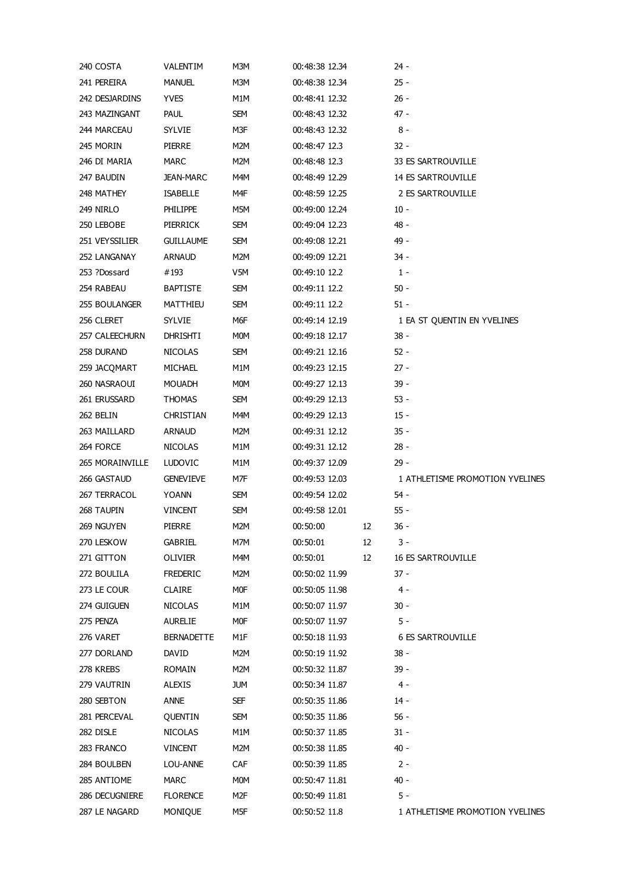| 240 COSTA       | VALENTIM          | M3M        | 00:48:38 12.34 |    | 24 -                            |
|-----------------|-------------------|------------|----------------|----|---------------------------------|
| 241 PEREIRA     | <b>MANUEL</b>     | M3M        | 00:48:38 12.34 |    | $25 -$                          |
| 242 DESJARDINS  | <b>YVES</b>       | M1M        | 00:48:41 12.32 |    | $26 -$                          |
| 243 MAZINGANT   | PAUL              | SEM        | 00:48:43 12.32 |    | 47 -                            |
| 244 MARCEAU     | SYLVIE            | M3F        | 00:48:43 12.32 |    | $8 -$                           |
| 245 MORIN       | PIERRE            | M2M        | 00:48:47 12.3  |    | $32 -$                          |
| 246 DI MARIA    | MARC              | M2M        | 00:48:48 12.3  |    | 33 ES SARTROUVILLE              |
| 247 BAUDIN      | JEAN-MARC         | M4M        | 00:48:49 12.29 |    | <b>14 ES SARTROUVILLE</b>       |
| 248 MATHEY      | <b>ISABELLE</b>   | M4F        | 00:48:59 12.25 |    | 2 ES SARTROUVILLE               |
| 249 NIRLO       | PHILIPPE          | M5M        | 00:49:00 12.24 |    | $10 -$                          |
| 250 LEBOBE      | PIERRICK          | SEM        | 00:49:04 12.23 |    | - 48                            |
| 251 VEYSSILIER  | <b>GUILLAUME</b>  | SEM        | 00:49:08 12.21 |    | 49 -                            |
| 252 LANGANAY    | ARNAUD            | M2M        | 00:49:09 12.21 |    | - 34                            |
| 253 ?Dossard    | #193              | V5M        | 00:49:10 12.2  |    | $1 -$                           |
| 254 RABEAU      | <b>BAPTISTE</b>   | SEM        | 00:49:11 12.2  |    | $50 -$                          |
| 255 BOULANGER   | MATTHIEU          | SEM        | 00:49:11 12.2  |    | $51 -$                          |
| 256 CLERET      | <b>SYLVIE</b>     | M6F        | 00:49:14 12.19 |    | 1 EA ST QUENTIN EN YVELINES     |
| 257 CALEECHURN  | DHRISHTI          | M0M        | 00:49:18 12.17 |    | $38 -$                          |
| 258 DURAND      | <b>NICOLAS</b>    | SEM        | 00:49:21 12.16 |    | $52 -$                          |
| 259 JACQMART    | MICHAEL           | M1M        | 00:49:23 12.15 |    | $27 -$                          |
| 260 NASRAOUI    | <b>MOUADH</b>     | M0M        | 00:49:27 12.13 |    | $39 -$                          |
| 261 ERUSSARD    | THOMAS            | SEM        | 00:49:29 12.13 |    | $53 -$                          |
| 262 BELIN       | CHRISTIAN         | M4M        | 00:49:29 12.13 |    | $15 -$                          |
| 263 MAILLARD    | <b>ARNAUD</b>     | M2M        | 00:49:31 12.12 |    | $35 -$                          |
| 264 FORCE       | <b>NICOLAS</b>    | M1M        | 00:49:31 12.12 |    | $28 -$                          |
| 265 MORAINVILLE | <b>LUDOVIC</b>    | M1M        | 00:49:37 12.09 |    | $29 -$                          |
| 266 GASTAUD     | <b>GENEVIEVE</b>  | M7F        | 00:49:53 12.03 |    | 1 ATHLETISME PROMOTION YVELINES |
| 267 TERRACOL    | YOANN             | SEM        | 00:49:54 12.02 |    | 54 -                            |
| 268 TAUPIN      | <b>VINCENT</b>    | SEM        | 00:49:58 12.01 |    | $55 -$                          |
|                 | <b>PIERRE</b>     |            |                |    | $36 -$                          |
| 269 NGUYEN      |                   | M2M        | 00:50:00       | 12 |                                 |
| 270 LESKOW      | <b>GABRIEL</b>    | M7M        | 00:50:01       | 12 | 3 -                             |
| 271 GITTON      | OLIVIER           | M4M        | 00:50:01       | 12 | <b>16 ES SARTROUVILLE</b>       |
| 272 BOULILA     | <b>FREDERIC</b>   | M2M        | 00:50:02 11.99 |    | 37 -                            |
| 273 LE COUR     | <b>CLAIRE</b>     | M0F        | 00:50:05 11.98 |    | 4 -                             |
| 274 GUIGUEN     | <b>NICOLAS</b>    | M1M        | 00:50:07 11.97 |    | 30 -                            |
| 275 PENZA       | <b>AURELIE</b>    | M0F        | 00:50:07 11.97 |    | 5 -                             |
| 276 VARET       | <b>BERNADETTE</b> | M1F        | 00:50:18 11.93 |    | <b>6 ES SARTROUVILLE</b>        |
| 277 DORLAND     | DAVID             | M2M        | 00:50:19 11.92 |    | - 38                            |
| 278 KREBS       | ROMAIN            | M2M        | 00:50:32 11.87 |    | 39 -                            |
| 279 VAUTRIN     | ALEXIS            | <b>JUM</b> | 00:50:34 11.87 |    | 4 -                             |
| 280 SEBTON      | <b>ANNE</b>       | SEF        | 00:50:35 11.86 |    | $14 -$                          |
| 281 PERCEVAL    | QUENTIN           | SEM        | 00:50:35 11.86 |    | $56 -$                          |
| 282 DISLE       | <b>NICOLAS</b>    | M1M        | 00:50:37 11.85 |    | $31 -$                          |
| 283 FRANCO      | <b>VINCENT</b>    | M2M        | 00:50:38 11.85 |    | 40 -                            |
| 284 BOULBEN     | LOU-ANNE          | CAF        | 00:50:39 11.85 |    | 2 -                             |
| 285 ANTIOME     | <b>MARC</b>       | <b>MOM</b> | 00:50:47 11.81 |    | 40 -                            |
| 286 DECUGNIERE  | <b>FLORENCE</b>   | M2F        | 00:50:49 11.81 |    | 5 -                             |
| 287 LE NAGARD   | MONIQUE           | M5F        | 00:50:52 11.8  |    | 1 ATHLETISME PROMOTION YVELINES |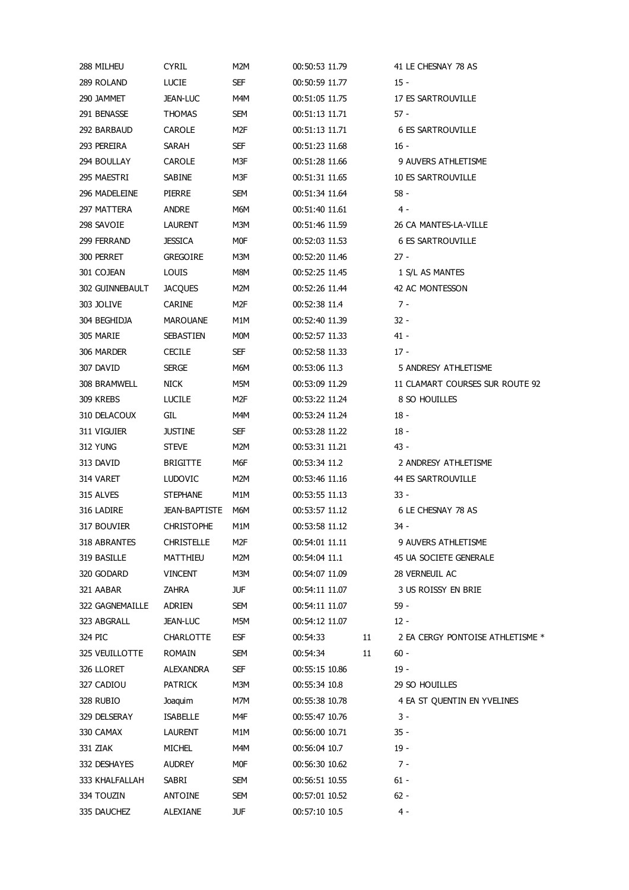| 288 MILHEU      | <b>CYRIL</b>         | M2M        | 00:50:53 11.79 |    | 41 LE CHESNAY 78 AS              |
|-----------------|----------------------|------------|----------------|----|----------------------------------|
| 289 ROLAND      | <b>LUCIE</b>         | SEF        | 00:50:59 11.77 |    | $15 -$                           |
| 290 JAMMET      | <b>JEAN-LUC</b>      | M4M        | 00:51:05 11.75 |    | 17 ES SARTROUVILLE               |
| 291 BENASSE     | <b>THOMAS</b>        | SEM        | 00:51:13 11.71 |    | 57 -                             |
| 292 BARBAUD     | <b>CAROLE</b>        | M2F        | 00:51:13 11.71 |    | <b>6 ES SARTROUVILLE</b>         |
| 293 PEREIRA     | SARAH                | SEF        | 00:51:23 11.68 |    | 16 -                             |
| 294 BOULLAY     | CAROLE               | M3F        | 00:51:28 11.66 |    | 9 AUVERS ATHLETISME              |
| 295 MAESTRI     | SABINE               | M3F        | 00:51:31 11.65 |    | <b>10 ES SARTROUVILLE</b>        |
| 296 MADELEINE   | PIERRE               | SEM        | 00:51:34 11.64 |    | - 58                             |
| 297 MATTERA     | ANDRE                | M6M        | 00:51:40 11.61 |    | 4 -                              |
| 298 SAVOIE      | LAURENT              | M3M        | 00:51:46 11.59 |    | 26 CA MANTES-LA-VILLE            |
| 299 FERRAND     | <b>JESSICA</b>       | M0F        | 00:52:03 11.53 |    | <b>6 ES SARTROUVILLE</b>         |
| 300 PERRET      | <b>GREGOIRE</b>      | МЗМ        | 00:52:20 11.46 |    | $27 -$                           |
| 301 COJEAN      | LOUIS                | M8M        | 00:52:25 11.45 |    | 1 S/L AS MANTES                  |
| 302 GUINNEBAULT | <b>JACQUES</b>       | M2M        | 00:52:26 11.44 |    | 42 AC MONTESSON                  |
| 303 JOLIVE      | CARINE               | M2F        | 00:52:38 11.4  |    | $7 -$                            |
| 304 BEGHIDJA    | MAROUANE             | M1M        | 00:52:40 11.39 |    | $32 -$                           |
| 305 MARIE       | <b>SEBASTIEN</b>     | <b>MOM</b> | 00:52:57 11.33 |    | 41 -                             |
| 306 MARDER      | <b>CECILE</b>        | SEF        | 00:52:58 11.33 |    | $17 -$                           |
| 307 DAVID       | <b>SERGE</b>         | M6M        | 00:53:06 11.3  |    | 5 ANDRESY ATHLETISME             |
| 308 BRAMWELL    | <b>NICK</b>          | M5M        | 00:53:09 11.29 |    | 11 CLAMART COURSES SUR ROUTE 92  |
| 309 KREBS       | <b>LUCILE</b>        | M2F        | 00:53:22 11.24 |    | 8 SO HOUILLES                    |
| 310 DELACOUX    |                      |            | 00:53:24 11.24 |    |                                  |
|                 | GIL.                 | M4M        |                |    | 18 -                             |
| 311 VIGUIER     | <b>JUSTINE</b>       | SEF        | 00:53:28 11.22 |    | 18 -                             |
| 312 YUNG        | <b>STEVE</b>         | M2M        | 00:53:31 11.21 |    | - 43                             |
| 313 DAVID       | <b>BRIGITTE</b>      | M6F        | 00:53:34 11.2  |    | 2 ANDRESY ATHLETISME             |
| 314 VARET       | <b>LUDOVIC</b>       | M2M        | 00:53:46 11.16 |    | 44 ES SARTROUVILLE               |
| 315 ALVES       | <b>STEPHANE</b>      | M1M        | 00:53:55 11.13 |    | 33 -                             |
| 316 LADIRE      | <b>JEAN-BAPTISTE</b> | M6M        | 00:53:57 11.12 |    | 6 LE CHESNAY 78 AS               |
| 317 BOUVIER     | <b>CHRISTOPHE</b>    | M1M        | 00:53:58 11.12 |    | - 34                             |
| 318 ABRANTES    | <b>CHRISTELLE</b>    | M2F        | 00:54:01 11.11 |    | 9 AUVERS ATHLETISME              |
| 319 BASILLE     | MATTHIEU             | M2M        | 00:54:04 11.1  |    | 45 UA SOCIETE GENERALE           |
| 320 GODARD      | <b>VINCENT</b>       | M3M        | 00:54:07 11.09 |    | 28 VERNEUIL AC                   |
| 321 AABAR       | ZAHRA                | <b>JUF</b> | 00:54:11 11.07 |    | 3 US ROISSY EN BRIE              |
| 322 GAGNEMAILLE | ADRIEN               | SEM        | 00:54:11 11.07 |    | $59 -$                           |
| 323 ABGRALL     | <b>JEAN-LUC</b>      | M5M        | 00:54:12 11.07 |    | $12 -$                           |
| 324 PIC         | <b>CHARLOTTE</b>     | <b>ESF</b> | 00:54:33       | 11 | 2 EA CERGY PONTOISE ATHLETISME * |
| 325 VEUILLOTTE  | ROMAIN               | SEM        | 00:54:34       | 11 | $60 -$                           |
| 326 LLORET      | ALEXANDRA            | SEF        | 00:55:15 10.86 |    | $19 -$                           |
| 327 CADIOU      | PATRICK              | M3M        | 00:55:34 10.8  |    | 29 SO HOUILLES                   |
| 328 RUBIO       | Joaquim              | M7M        | 00:55:38 10.78 |    | 4 EA ST QUENTIN EN YVELINES      |
| 329 DELSERAY    | <b>ISABELLE</b>      | M4F        | 00:55:47 10.76 |    | 3 -                              |
| 330 CAMAX       | LAURENT              | M1M        | 00:56:00 10.71 |    | $35 -$                           |
| 331 ZIAK        | MICHEL               | M4M        | 00:56:04 10.7  |    | $19 -$                           |
| 332 DESHAYES    | AUDREY               | M0F        | 00:56:30 10.62 |    | 7 -                              |
|                 |                      |            | 00:56:51 10.55 |    | $61 -$                           |
| 333 KHALFALLAH  | SABRI                | SEM        |                |    |                                  |
| 334 TOUZIN      | ANTOINE              | SEM        | 00:57:01 10.52 |    | $62 -$                           |
| 335 DAUCHEZ     | ALEXIANE             | JUF        | 00:57:10 10.5  |    | 4 -                              |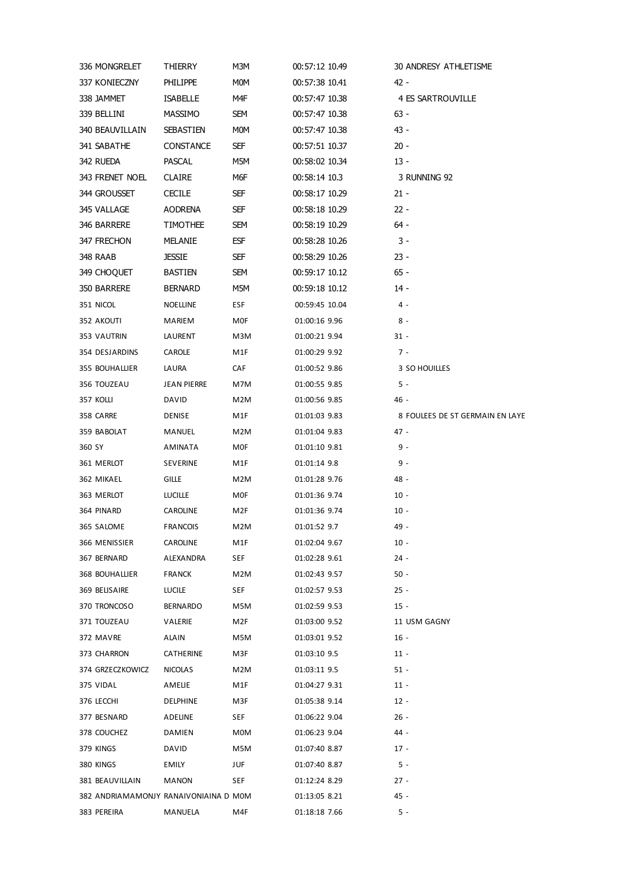|        | 336 MONGRELET    | THIERRY                               | M3M        | 00:57:12 10.49 | 30 ANDRESY ATHLETISME           |
|--------|------------------|---------------------------------------|------------|----------------|---------------------------------|
|        | 337 KONIECZNY    | PHILIPPE                              | <b>MOM</b> | 00:57:38 10.41 | 42 -                            |
|        | 338 JAMMET       | <b>ISABELLE</b>                       | M4F        | 00:57:47 10.38 | 4 ES SARTROUVILLE               |
|        |                  |                                       |            |                | $63 -$                          |
|        | 339 BELLINI      | MASSIMO                               | SEM        | 00:57:47 10.38 |                                 |
|        | 340 BEAUVILLAIN  | SEBASTIEN                             | <b>MOM</b> | 00:57:47 10.38 | 43 -                            |
|        | 341 SABATHE      | CONSTANCE                             | SEF        | 00:57:51 10.37 | $20 -$                          |
|        | 342 RUEDA        | <b>PASCAL</b>                         | M5M        | 00:58:02 10.34 | $13 -$                          |
|        | 343 FRENET NOEL  | <b>CLAIRE</b>                         | M6F        | 00:58:14 10.3  | 3 RUNNING 92                    |
|        | 344 GROUSSET     | <b>CECILE</b>                         | SEF        | 00:58:17 10.29 | $21 -$                          |
|        | 345 VALLAGE      | AODRENA                               | SEF        | 00:58:18 10.29 | $22 -$                          |
|        | 346 BARRERE      | TIMOTHEE                              | SEM        | 00:58:19 10.29 | 64 -                            |
|        | 347 FRECHON      | MELANIE                               | ESF        | 00:58:28 10.26 | 3 -                             |
|        | 348 RAAB         | <b>JESSIE</b>                         | SEF        | 00:58:29 10.26 | $23 -$                          |
|        | 349 CHOQUET      | BASTIEN                               | SEM        | 00:59:17 10.12 | $65 -$                          |
|        | 350 BARRERE      | BERNARD                               | M5M        | 00:59:18 10.12 | 14 -                            |
|        | 351 NICOL        | NOELLINE                              | ESF        | 00:59:45 10.04 | 4 -                             |
|        | 352 AKOUTI       | MARIEM                                | MOF        | 01:00:16 9.96  | $8 -$                           |
|        | 353 VAUTRIN      | LAURENT                               | M3M        | 01:00:21 9.94  | $31 -$                          |
|        | 354 DESJARDINS   | CAROLE                                | M1F        | 01:00:29 9.92  | $7 -$                           |
|        | 355 BOUHALLIER   | LAURA                                 | CAF        | 01:00:52 9.86  | 3 SO HOUILLES                   |
|        | 356 TOUZEAU      | JEAN PIERRE                           | M7M        | 01:00:55 9.85  | $5 -$                           |
|        | 357 KOLLI        | DAVID                                 | M2M        | 01:00:56 9.85  | 46 -                            |
|        | 358 CARRE        | DENISE                                | M1F        | 01:01:03 9.83  | 8 FOULEES DE ST GERMAIN EN LAYE |
|        | 359 BABOLAT      | MANUEL                                | M2M        | 01:01:04 9.83  | $47 -$                          |
|        |                  |                                       |            |                | 9 -                             |
| 360 SY |                  | AMINATA                               | MOF        | 01:01:10 9.81  |                                 |
|        | 361 MERLOT       | SEVERINE                              | M1F        | 01:01:14 9.8   | 9 -                             |
|        | 362 MIKAEL       | <b>GILLE</b>                          | M2M        | 01:01:28 9.76  | 48 -                            |
|        | 363 MERLOT       | <b>LUCILLE</b>                        | MOF        | 01:01:36 9.74  | $10 -$                          |
|        | 364 PINARD       | CAROLINE                              | M2F        | 01:01:36 9.74  | $10 -$                          |
|        | 365 SALOME       | <b>FRANCOIS</b>                       | M2M        | 01:01:52 9.7   | 49 -                            |
|        | 366 MENISSIER    | CAROLINE                              | M1F        | 01:02:04 9.67  | $10 -$                          |
|        | 367 BERNARD      | ALEXANDRA                             | SEF        | 01:02:28 9.61  | $24 -$                          |
|        | 368 BOUHALLIER   | FRANCK                                | M2M        | 01:02:43 9.57  | $50 -$                          |
|        | 369 BELISAIRE    | LUCILE                                | SEF        | 01:02:57 9.53  | $25 -$                          |
|        | 370 TRONCOSO     | BERNARDO                              | M5M        | 01:02:59 9.53  | $15 -$                          |
|        | 371 TOUZEAU      | VALERIE                               | M2F        | 01:03:00 9.52  | 11 USM GAGNY                    |
|        | 372 MAVRE        | ALAIN                                 | M5M        | 01:03:01 9.52  | $16 -$                          |
|        | 373 CHARRON      | CATHERINE                             | M3F        | 01:03:10 9.5   | $11 -$                          |
|        | 374 GRZECZKOWICZ | <b>NICOLAS</b>                        | M2M        | 01:03:11 9.5   | $51 -$                          |
|        | 375 VIDAL        | AMELIE                                | M1F        | 01:04:27 9.31  | $11 -$                          |
|        | 376 LECCHI       | DELPHINE                              | M3F        | 01:05:38 9.14  | $12 -$                          |
|        | 377 BESNARD      | ADELINE                               | <b>SEF</b> | 01:06:22 9.04  | $26 -$                          |
|        | 378 COUCHEZ      | DAMIEN                                | <b>MOM</b> | 01:06:23 9.04  | 44 -                            |
|        | 379 KINGS        |                                       | M5M        |                | 17 -                            |
|        |                  | DAVID                                 |            | 01:07:40 8.87  |                                 |
|        | 380 KINGS        | EMILY                                 | JUF        | 01:07:40 8.87  | 5 -                             |
|        | 381 BEAUVILLAIN  | <b>MANON</b>                          | SEF        | 01:12:24 8.29  | 27 -                            |
|        |                  | 382 ANDRIAMAMONJY RANAIVONIAINA D MOM |            | 01:13:05 8.21  | 45 -                            |
|        | 383 PEREIRA      | MANUELA                               | M4F        | 01:18:18 7.66  | 5 -                             |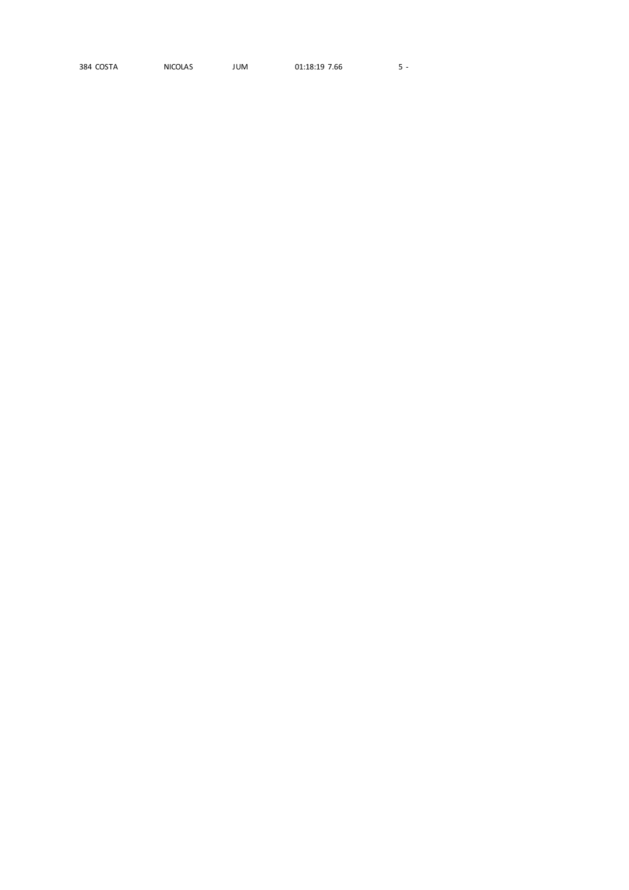384 COSTA NICOLAS JUM 01:18:19 7.66  $5 -$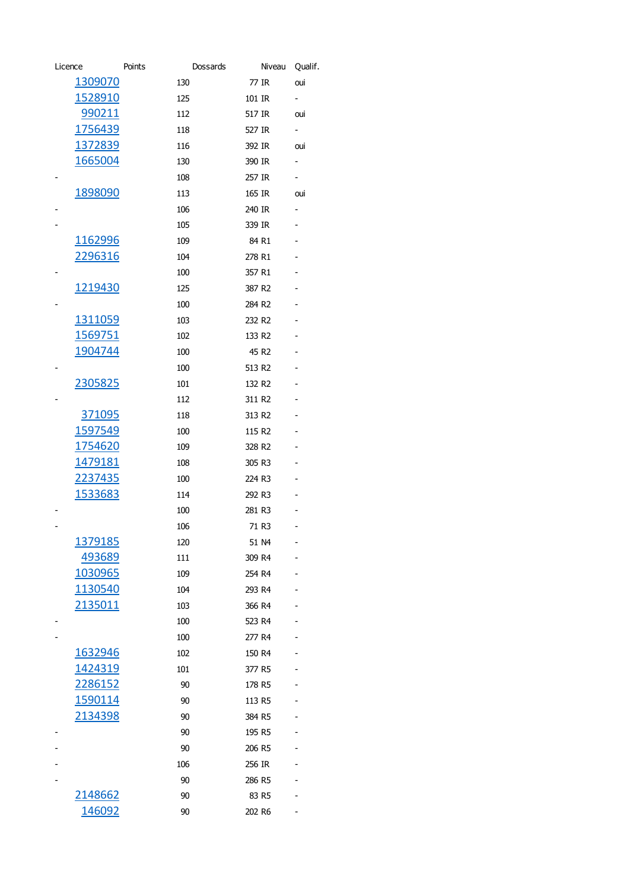| Licence         | Points | Dossards           | Niveau            | Qualif.                  |
|-----------------|--------|--------------------|-------------------|--------------------------|
| 1309070         | 130    | 77 IR              |                   | oui                      |
| <u>1528910</u>  | 125    | 101 IR             |                   | ۰.                       |
| 990211          | 112    | 517 IR             |                   | oui                      |
| 1756439         | 118    | 527 IR             |                   | $\blacksquare$           |
| 1372839         | 116    | 392 IR             |                   | oui                      |
| 1665004         | 130    | 390 IR             |                   | $\sim$                   |
|                 | 108    | 257 IR             |                   | $\sim$                   |
| 1898090         | 113    | 165 IR             |                   | oui                      |
|                 | 106    | 240 IR             |                   | $\overline{\phantom{a}}$ |
|                 | 105    | 339 IR             |                   |                          |
| 1162996         | 109    |                    | 84 R1             |                          |
| <u>2296316</u>  | 104    | 278 R1             |                   |                          |
|                 | 100    | 357 R1             |                   |                          |
| 1219430         | 125    | 387 R2             |                   |                          |
|                 | 100    | 284 R2             |                   |                          |
| <u>1311059</u>  | 103    | 232 R <sub>2</sub> |                   |                          |
| 1569751         | 102    | 133 R <sub>2</sub> |                   |                          |
| <u>1904744</u>  | 100    |                    | 45 R <sub>2</sub> |                          |
|                 | 100    | 513 R2             |                   |                          |
| 2305825         | 101    | 132 R <sub>2</sub> |                   |                          |
|                 | 112    | 311 R2             |                   |                          |
| 371095          | 118    | 313 R2             |                   |                          |
| 1597549         | 100    | 115 R2             |                   |                          |
| 1754620         | 109    | 328 R2             |                   |                          |
| 1479181         | 108    | 305 R3             |                   |                          |
| <u>2237435</u>  | 100    | 224 R3             |                   |                          |
| 1533683         | 114    | 292 R3             |                   |                          |
|                 | 100    | 281 R3             |                   |                          |
|                 | 106    |                    | 71 R3             | -                        |
| 1379185         | 120    |                    | 51 N4             |                          |
| 493689          | 111    | 309 R4             |                   |                          |
| 1030965         | 109    | 254 R4             |                   |                          |
| 1130540         | 104    | 293 R4             |                   |                          |
| <u> 2135011</u> | 103    | 366 R4             |                   |                          |
|                 | 100    | 523 R4             |                   |                          |
|                 | 100    | 277 R4             |                   |                          |
| 1632946         | 102    | 150 R4             |                   |                          |
| <u>1424319</u>  | 101    | 377 R5             |                   |                          |
| 2286152         | 90     | 178 R5             |                   |                          |
| 1590114         | 90     | 113 R5             |                   |                          |
| 2134398         | 90     | 384 R5             |                   |                          |
|                 | 90     | 195 R5             |                   |                          |
|                 | 90     | 206 R5             |                   |                          |
|                 | 106    | 256 IR             |                   |                          |
|                 | 90     | 286 R5             |                   |                          |
| 2148662         | 90     |                    | 83 R5             |                          |
| <u> 146092</u>  | 90     | 202 R6             |                   |                          |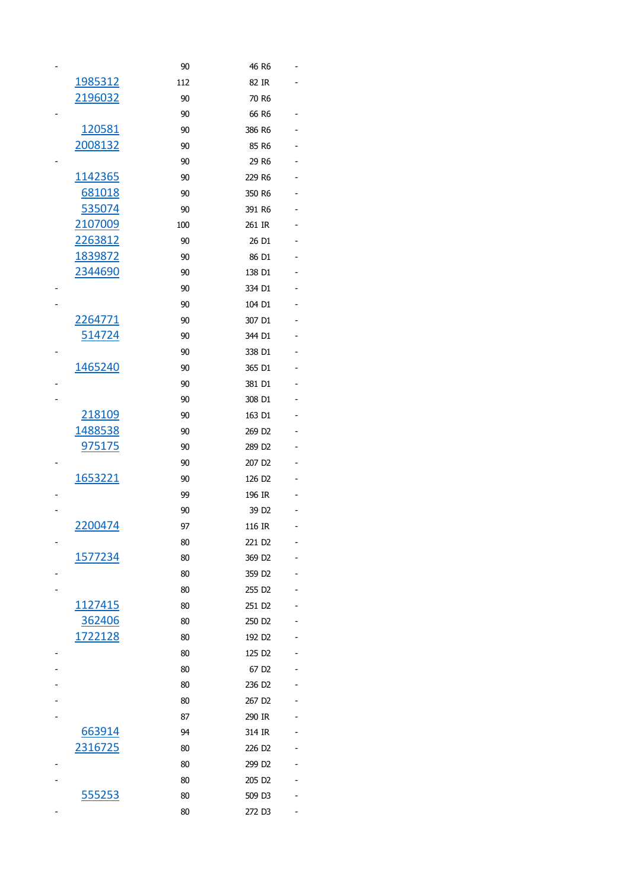|                 | 90  | 46 R6              |  |
|-----------------|-----|--------------------|--|
| 1985312         | 112 | 82 IR              |  |
| 2196032         | 90  | 70 R6              |  |
|                 | 90  | 66 R6              |  |
| 120581          | 90  | 386 R6             |  |
| 2008132         | 90  | 85 R6              |  |
|                 | 90  | 29 R6              |  |
| 1142365         | 90  | 229 R6             |  |
| 681018          | 90  | 350 R6             |  |
| <u>535074</u>   | 90  | 391 R6             |  |
| 2107009         | 100 | 261 IR             |  |
| <u> 2263812</u> | 90  | 26 D1              |  |
| <u>1839872</u>  | 90  | 86 D1              |  |
| 2344690         | 90  | 138 D1             |  |
|                 | 90  | 334 D1             |  |
|                 | 90  | 104 D1             |  |
| 2264771         | 90  | 307 D1             |  |
| <u>514724</u>   | 90  | 344 D1             |  |
|                 | 90  | 338 D1             |  |
| 1465240         | 90  | 365 D1             |  |
|                 | 90  | 381 D1             |  |
|                 | 90  | 308 D1             |  |
| 218109          | 90  | 163 D1             |  |
| 1488538         | 90  | 269 D <sub>2</sub> |  |
| 975175          | 90  | 289 D <sub>2</sub> |  |
|                 | 90  | 207 D <sub>2</sub> |  |
| 1653221         | 90  | 126 D <sub>2</sub> |  |
|                 | 99  | 196 IR             |  |
|                 | 90  | 39 D <sub>2</sub>  |  |
| 2200474         | 97  | 116 IR             |  |
|                 | 80  | 221 D <sub>2</sub> |  |
| 1577234         | 80  | 369 D <sub>2</sub> |  |
|                 | 80  | 359 D <sub>2</sub> |  |
|                 | 80  | 255 D <sub>2</sub> |  |
| 1127415         | 80  | 251 D <sub>2</sub> |  |
| 362406          | 80  | 250 D <sub>2</sub> |  |
| 1722128         | 80  | 192 D <sub>2</sub> |  |
|                 | 80  | 125 D <sub>2</sub> |  |
|                 | 80  | 67 D <sub>2</sub>  |  |
|                 | 80  | 236 D <sub>2</sub> |  |
|                 | 80  | 267 D <sub>2</sub> |  |
|                 | 87  | 290 IR             |  |
| 663914          | 94  | 314 IR             |  |
| 2316725         | 80  | 226 D <sub>2</sub> |  |
|                 | 80  | 299 D <sub>2</sub> |  |
|                 | 80  | 205 D <sub>2</sub> |  |
| 555253          | 80  | 509 D3             |  |
|                 | 80  | 272 D3             |  |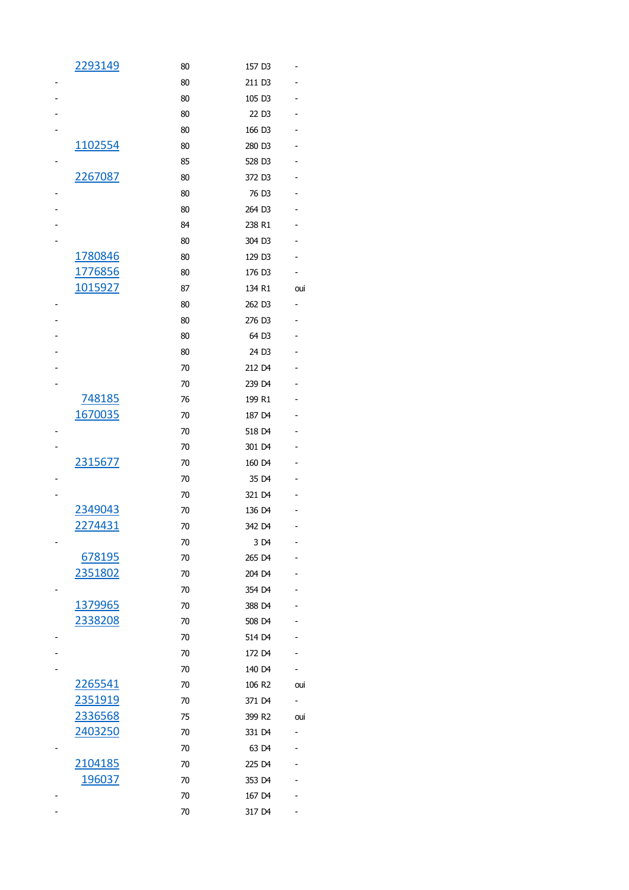| 2293149        | 80 | 157 D3             |     |
|----------------|----|--------------------|-----|
|                | 80 | 211 D3             |     |
|                | 80 | 105 D3             |     |
|                | 80 | 22 D3              |     |
|                | 80 | 166 D3             |     |
| <u>1102554</u> | 80 | 280 D3             |     |
|                | 85 | 528 D3             |     |
| 2267087        | 80 | 372 D3             |     |
|                | 80 | 76 D <sub>3</sub>  |     |
|                | 80 | 264 D3             |     |
|                | 84 | 238 R1             |     |
|                | 80 | 304 D3             |     |
| 1780846        | 80 | 129 D3             |     |
| 1776856        | 80 | 176 D3             |     |
| 1015927        | 87 | 134 R1             | oui |
|                | 80 | 262 D3             |     |
|                | 80 | 276 D3             |     |
|                | 80 | 64 D3              |     |
|                | 80 | 24 D3              |     |
|                | 70 | 212 D4             |     |
|                | 70 | 239 D4             |     |
| 748185         | 76 | 199 R1             |     |
| 1670035        | 70 | 187 D4             |     |
|                | 70 | 518 D4             |     |
|                | 70 | 301 D4             |     |
| 2315677        | 70 | 160 D4             |     |
|                | 70 | 35 D4              |     |
|                | 70 | 321 D4             |     |
| 2349043        | 70 | 136 D4             |     |
| 2274431        | 70 | 342 D4             |     |
|                | 70 | 3 D4               |     |
| 678195         | 70 | 265 D4             |     |
| 2351802        | 70 | 204 D4             |     |
|                | 70 | 354 D4             |     |
| 1379965        | 70 | 388 D4             |     |
| 2338208        | 70 | 508 D4             |     |
|                | 70 | 514 D4             |     |
|                | 70 | 172 D4             |     |
|                | 70 | 140 D4             |     |
| 2265541        | 70 | 106 R <sub>2</sub> | oui |
| <u>2351919</u> | 70 | 371 D4             | ۰.  |
| 2336568        | 75 | 399 R2             | oui |
| 2403250        | 70 | 331 D4             |     |
|                | 70 | 63 D4              |     |
| 2104185        | 70 | 225 D4             |     |
| 196037         | 70 | 353 D4             |     |
|                | 70 | 167 D4             |     |
|                | 70 | 317 D4             |     |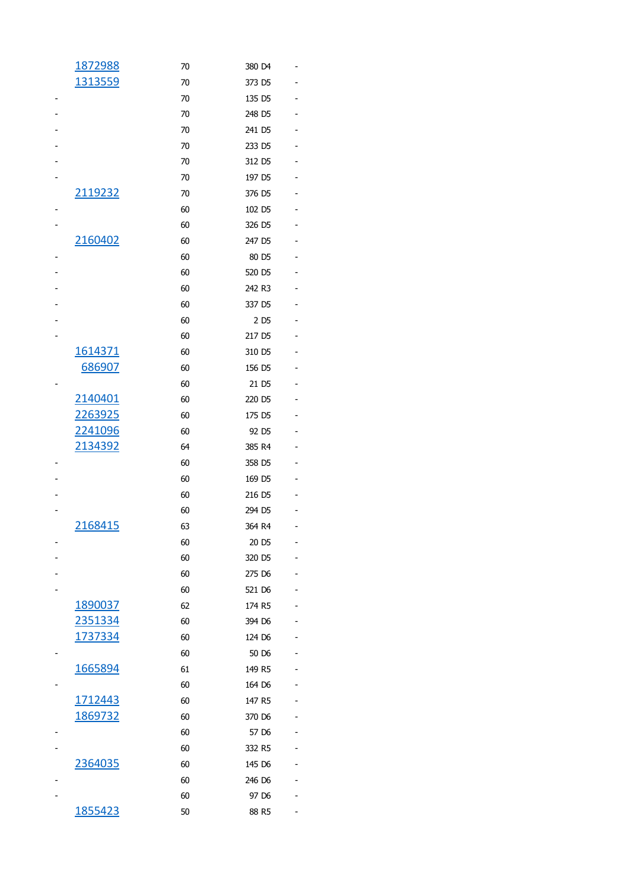| 1872988        | 70 | 380 D4            |  |
|----------------|----|-------------------|--|
| 1313559        | 70 | 373 D5            |  |
|                | 70 | 135 D5            |  |
|                | 70 | 248 D5            |  |
|                | 70 | 241 D5            |  |
|                | 70 | 233 D5            |  |
|                | 70 | 312 D5            |  |
|                | 70 | 197 D5            |  |
| 2119232        | 70 | 376 D5            |  |
|                | 60 | 102 D5            |  |
|                | 60 | 326 D5            |  |
| 2160402        | 60 | 247 D5            |  |
|                | 60 | 80 D5             |  |
|                | 60 | 520 D5            |  |
|                | 60 | 242 R3            |  |
|                | 60 | 337 D5            |  |
|                | 60 | 2 D <sub>5</sub>  |  |
|                | 60 | 217 D5            |  |
| 1614371        | 60 | 310 D5            |  |
| 686907         | 60 | 156 D5            |  |
|                | 60 | 21 D5             |  |
| 2140401        | 60 | 220 D5            |  |
| <u>2263925</u> | 60 | 175 D5            |  |
| 2241096        | 60 | 92 D5             |  |
| 2134392        | 64 | 385 R4            |  |
|                | 60 | 358 D5            |  |
|                | 60 | 169 D5            |  |
|                | 60 | 216 D5            |  |
|                | 60 | 294 D5            |  |
| 2168415        | 63 | 364 R4            |  |
|                | 60 | 20 D <sub>5</sub> |  |
|                | 60 | 320 D5            |  |
|                | 60 | 275 D6            |  |
|                | 60 | 521 D6            |  |
| 1890037        | 62 | 174 R5            |  |
| 2351334        | 60 | 394 D6            |  |
| 1737334        | 60 | 124 D6            |  |
|                | 60 | 50 D6             |  |
| 1665894        | 61 | 149 R5            |  |
|                | 60 | 164 D6            |  |
| 1712443        | 60 | 147 R5            |  |
| 1869732        | 60 | 370 D6            |  |
|                | 60 | 57 D6             |  |
|                | 60 | 332 R5            |  |
| 2364035        | 60 | 145 D6            |  |
|                | 60 | 246 D6            |  |
|                | 60 | 97 D <sub>6</sub> |  |
| 1855423        | 50 | 88 R5             |  |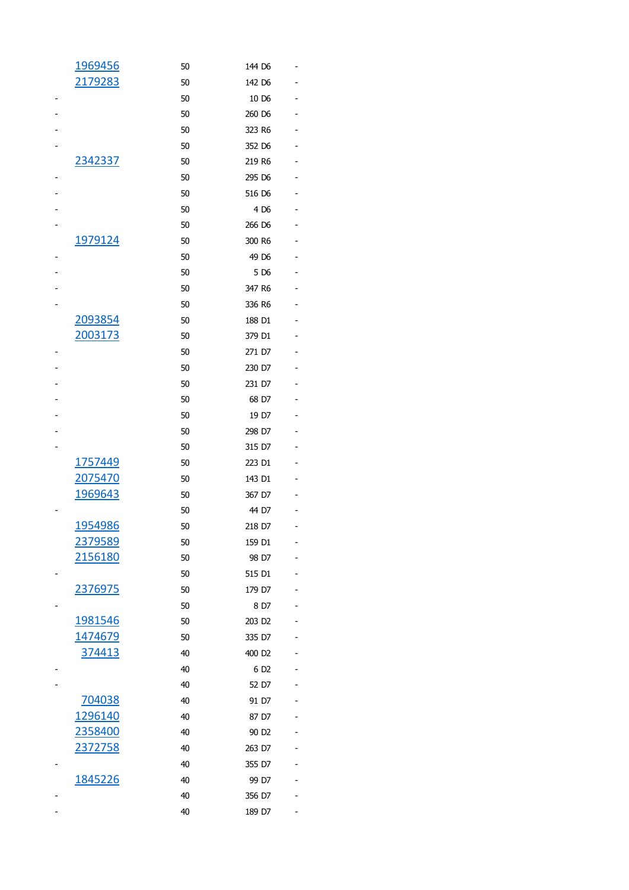| 1969456        | 50 | 144 D6             |   |
|----------------|----|--------------------|---|
| 2179283        | 50 | 142 D6             |   |
|                | 50 | 10 D6              |   |
|                | 50 | 260 D6             | - |
|                | 50 | 323 R6             |   |
|                | 50 | 352 D6             |   |
| 2342337        | 50 | 219 R6             |   |
|                | 50 | 295 D6             | - |
|                | 50 | 516 D6             |   |
|                | 50 | 4 D6               |   |
|                | 50 | 266 D6             |   |
| 1979124        | 50 | 300 R6             |   |
|                | 50 | 49 D6              |   |
|                | 50 | 5 D <sub>6</sub>   |   |
|                | 50 | 347 R6             |   |
|                | 50 | 336 R6             |   |
| 2093854        | 50 | 188 D1             |   |
| 2003173        | 50 | 379 D1             |   |
|                | 50 | 271 D7             |   |
|                | 50 | 230 D7             |   |
|                | 50 | 231 D7             |   |
|                | 50 | 68 D7              |   |
|                | 50 | 19 D7              |   |
|                | 50 | 298 D7             |   |
|                | 50 | 315 D7             |   |
| 1757449        | 50 | 223 D1             |   |
| 2075470        | 50 | 143 D1             |   |
| 1969643        | 50 | 367 D7             |   |
|                | 50 | 44 D7              |   |
| 1954986        | 50 | 218 D7             |   |
| 2379589        | 50 | 159 D1             |   |
| 2156180        | 50 | 98 D7              |   |
|                | 50 | 515 D1             |   |
| 2376975        | 50 | 179 D7             |   |
|                | 50 | 8 D7               |   |
| 1981546        | 50 | 203 D <sub>2</sub> |   |
| <u>1474679</u> | 50 | 335 D7             |   |
| 374413         | 40 | 400 D <sub>2</sub> |   |
|                | 40 | 6 D <sub>2</sub>   |   |
|                | 40 | 52 D7              |   |
| 704038         | 40 | 91 D7              |   |
| 1296140        | 40 | 87 D7              |   |
| <u>2358400</u> | 40 | 90 D <sub>2</sub>  |   |
| 2372758        | 40 | 263 D7             |   |
|                | 40 | 355 D7             |   |
| 1845226        | 40 | 99 D7              |   |
|                | 40 | 356 D7             |   |
|                | 40 | 189 D7             |   |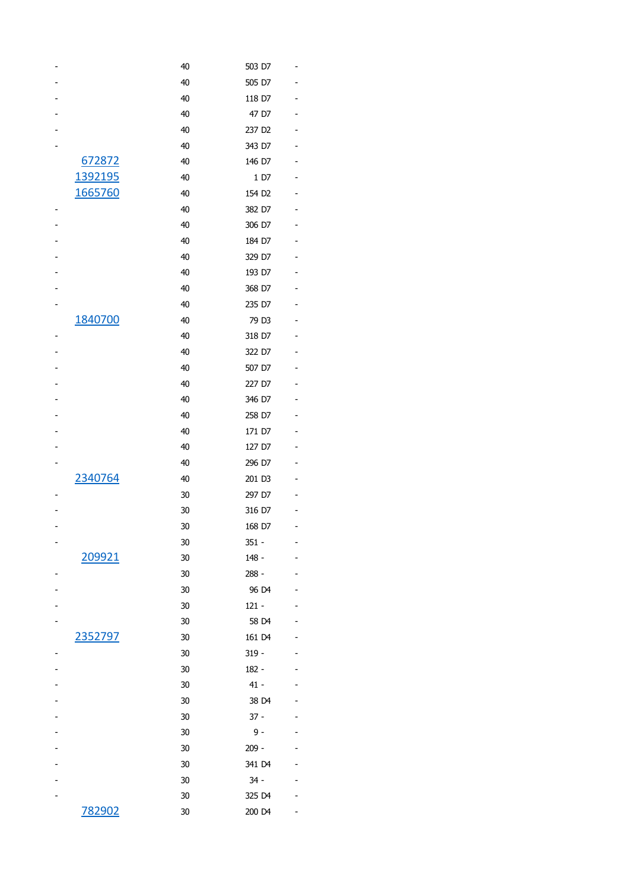|         | 40                                                 | 503 D7             |  |
|---------|----------------------------------------------------|--------------------|--|
|         | 40                                                 | 505 D7             |  |
|         | 40                                                 | 118 D7             |  |
|         | 40                                                 | 47 D7              |  |
|         | 40                                                 | 237 D <sub>2</sub> |  |
|         | 40                                                 | 343 D7             |  |
| 672872  | 40                                                 | 146 D7             |  |
| 1392195 | 40                                                 | 1 D7               |  |
|         | 40                                                 | 154 D <sub>2</sub> |  |
|         | 40                                                 | 382 D7             |  |
|         | 40                                                 | 306 D7             |  |
|         | 40                                                 | 184 D7             |  |
|         | 40                                                 | 329 D7             |  |
|         | 40                                                 | 193 D7             |  |
|         | 40                                                 | 368 D7             |  |
|         | 40                                                 | 235 D7             |  |
|         | 40                                                 | 79 D3              |  |
|         | 40                                                 | 318 D7             |  |
|         | 40                                                 | 322 D7             |  |
|         | 40                                                 | 507 D7             |  |
|         | 40                                                 | 227 D7             |  |
|         | 40                                                 | 346 D7             |  |
|         | 40                                                 | 258 D7             |  |
|         | 40                                                 | 171 D7             |  |
|         | 40                                                 | 127 D7             |  |
|         | 40                                                 | 296 D7             |  |
|         | 40                                                 | 201 D3             |  |
|         | 30                                                 | 297 D7             |  |
|         | 30                                                 | 316 D7             |  |
|         | 30                                                 | 168 D7             |  |
|         | 30                                                 | 351 -              |  |
|         | 30                                                 | 148 -              |  |
|         | 30                                                 | 288 -              |  |
|         | 30                                                 | 96 D4              |  |
|         | 30                                                 | $121 -$            |  |
|         | 30                                                 | 58 D4              |  |
|         | 30                                                 | 161 D4             |  |
|         | 30                                                 | $319 -$            |  |
|         | 30                                                 | $182 -$            |  |
|         | 30                                                 | $41 -$             |  |
|         | 30                                                 | 38 D4              |  |
|         | 30                                                 | $37 -$             |  |
|         | 30                                                 | 9 -                |  |
|         | 30                                                 | $209 -$            |  |
|         | 30                                                 | 341 D4             |  |
|         | 30                                                 | 34 -               |  |
|         | 30                                                 | 325 D4             |  |
| 782902  | 30                                                 | 200 D4             |  |
|         | 1665760<br>1840700<br>2340764<br>209921<br>2352797 |                    |  |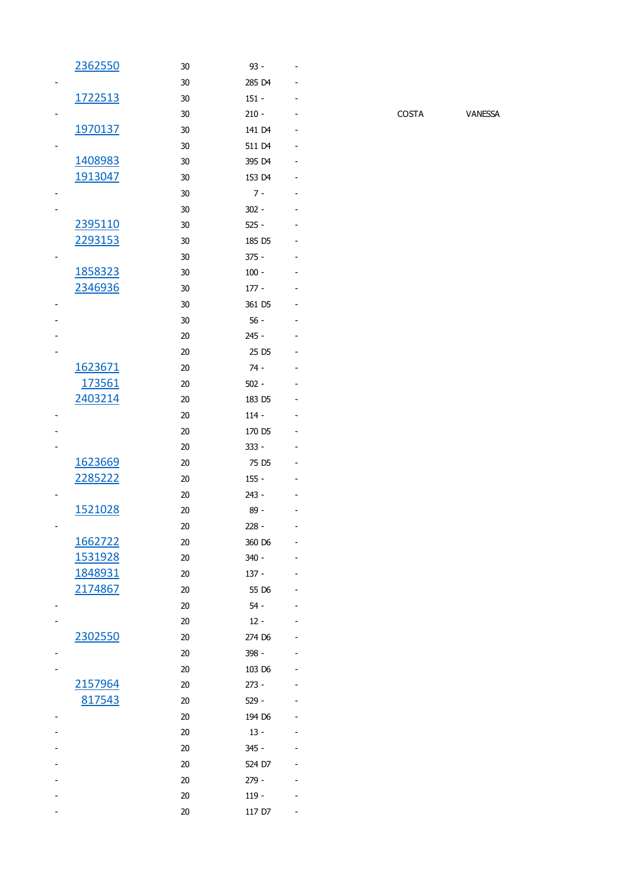| 2362550 | 30 | 93 -              |  |
|---------|----|-------------------|--|
|         | 30 | 285 D4            |  |
| 1722513 | 30 | $151 -$           |  |
|         | 30 | $210 -$           |  |
| 1970137 | 30 | 141 D4            |  |
|         | 30 | 511 D4            |  |
| 1408983 | 30 | 395 D4            |  |
| 1913047 | 30 | 153 D4            |  |
|         | 30 | $7 -$             |  |
|         | 30 | $302 -$           |  |
| 2395110 | 30 | $525 -$           |  |
| 2293153 | 30 | 185 D5            |  |
|         | 30 | 375 -             |  |
| 1858323 | 30 | $100 -$           |  |
| 2346936 | 30 | $177 -$           |  |
|         | 30 | 361 D5            |  |
|         | 30 | $56 -$            |  |
|         | 20 | 245 -             |  |
|         | 20 | 25 D <sub>5</sub> |  |
| 1623671 | 20 | 74 -              |  |
| 173561  | 20 | $502 -$           |  |
| 2403214 | 20 | 183 D5            |  |
|         | 20 | $114 -$           |  |
|         | 20 | 170 D5            |  |
|         | 20 | 333 -             |  |
| 1623669 | 20 | 75 D <sub>5</sub> |  |
| 2285222 | 20 | $155 -$           |  |
|         | 20 | 243 -             |  |
| 1521028 | 20 | 89 -              |  |
|         | 20 | $228 -$           |  |
| 1662722 | 20 | 360 D6            |  |
| 1531928 | 20 | $340 -$           |  |
| 1848931 | 20 | $137 -$           |  |
| 2174867 | 20 | 55 D6             |  |
|         | 20 | $54 -$            |  |
|         | 20 | $12 -$            |  |
| 2302550 | 20 | 274 D6            |  |
|         | 20 | 398 -             |  |
|         | 20 | 103 D6            |  |
| 2157964 | 20 | $273 -$           |  |
| 817543  | 20 | 529 -             |  |
|         | 20 | 194 D6            |  |
|         | 20 | 13 -              |  |
|         | 20 | 345 -             |  |
|         | 20 | 524 D7            |  |
|         | 20 | 279 -             |  |
|         | 20 | 119 -             |  |
|         | 20 | 117 D7            |  |
|         |    |                   |  |

COSTA VANESSA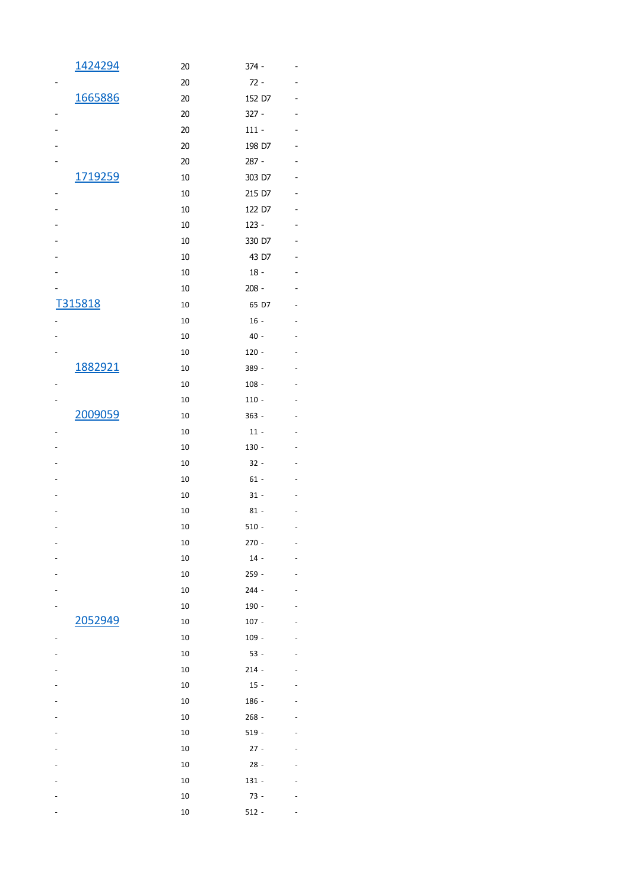| 1424294 | 20 | 374 -   |  |
|---------|----|---------|--|
|         | 20 | $72 -$  |  |
| 1665886 | 20 | 152 D7  |  |
|         | 20 | $327 -$ |  |
|         | 20 | $111 -$ |  |
|         | 20 | 198 D7  |  |
|         | 20 | 287 -   |  |
| 1719259 | 10 | 303 D7  |  |
|         | 10 | 215 D7  |  |
|         | 10 | 122 D7  |  |
|         | 10 | 123 -   |  |
|         | 10 | 330 D7  |  |
|         | 10 | 43 D7   |  |
|         | 10 | $18 -$  |  |
|         |    |         |  |
|         | 10 | $208 -$ |  |
| T315818 | 10 | 65 D7   |  |
|         | 10 | $16 -$  |  |
|         | 10 | $40 -$  |  |
|         | 10 | $120 -$ |  |
| 1882921 | 10 | 389 -   |  |
|         | 10 | 108 -   |  |
|         | 10 | $110 -$ |  |
| 2009059 | 10 | $363 -$ |  |
|         | 10 | $11 -$  |  |
|         | 10 | 130 -   |  |
|         | 10 | $32 -$  |  |
|         | 10 | $61 -$  |  |
|         | 10 | $31 -$  |  |
|         | 10 | $81 -$  |  |
|         | 10 | $510 -$ |  |
|         | 10 | $270 -$ |  |
|         | 10 | $14 -$  |  |
|         | 10 | $259 -$ |  |
|         | 10 | $244 -$ |  |
|         | 10 | 190 -   |  |
| 2052949 | 10 | $107 -$ |  |
|         | 10 | 109 -   |  |
|         | 10 | $53 -$  |  |
|         | 10 | $214 -$ |  |
|         | 10 | $15 -$  |  |
|         | 10 | 186 -   |  |
|         | 10 | 268 -   |  |
|         | 10 | $519 -$ |  |
|         | 10 | $27 -$  |  |
|         | 10 | $28 -$  |  |
|         | 10 | 131 -   |  |
|         | 10 | 73 -    |  |
|         | 10 | $512 -$ |  |
|         |    |         |  |